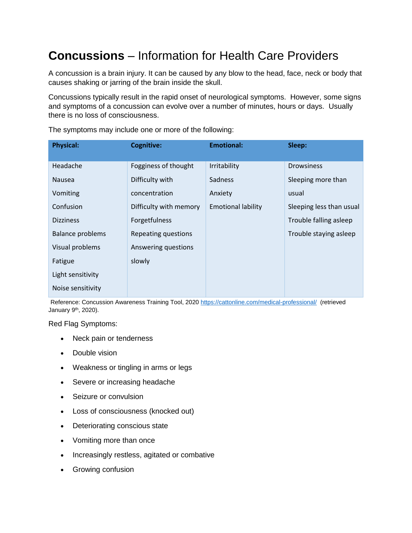# **Concussions** – Information for Health Care Providers

A concussion is a brain injury. It can be caused by any blow to the head, face, neck or body that causes shaking or jarring of the brain inside the skull.

Concussions typically result in the rapid onset of neurological symptoms. However, some signs and symptoms of a concussion can evolve over a number of minutes, hours or days. Usually there is no loss of consciousness.

| <b>Physical:</b>        | <b>Cognitive:</b>      | <b>Emotional:</b>         | Sleep:                   |
|-------------------------|------------------------|---------------------------|--------------------------|
| Headache                | Fogginess of thought   | Irritability              | <b>Drowsiness</b>        |
| <b>Nausea</b>           | Difficulty with        | <b>Sadness</b>            | Sleeping more than       |
| Vomiting                | concentration          | Anxiety                   | usual                    |
| Confusion               | Difficulty with memory | <b>Emotional lability</b> | Sleeping less than usual |
| <b>Dizziness</b>        | Forgetfulness          |                           | Trouble falling asleep   |
| <b>Balance problems</b> | Repeating questions    |                           | Trouble staying asleep   |
| Visual problems         | Answering questions    |                           |                          |
| Fatigue                 | slowly                 |                           |                          |
| Light sensitivity       |                        |                           |                          |
| Noise sensitivity       |                        |                           |                          |

The symptoms may include one or more of the following:

Reference: Concussion Awareness Training Tool, 2020 <https://cattonline.com/medical-professional/> (retrieved January 9th, 2020).

Red Flag Symptoms:

- Neck pain or tenderness
- Double vision
- Weakness or tingling in arms or legs
- Severe or increasing headache
- Seizure or convulsion
- Loss of consciousness (knocked out)
- Deteriorating conscious state
- Vomiting more than once
- Increasingly restless, agitated or combative
- Growing confusion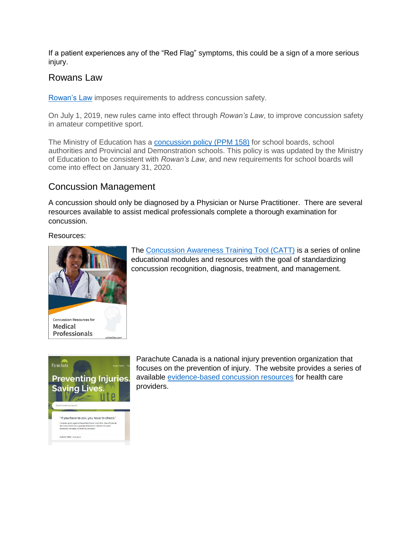If a patient experiences any of the "Red Flag" symptoms, this could be a sign of a more serious injury.

#### Rowans Law

[Rowan's Law](http://www.mtc.gov.on.ca/en/publications/rowan_report.pdf) imposes requirements to address concussion safety.

On July 1, 2019, new rules came into effect through *Rowan's Law*, to improve concussion safety in amateur competitive sport.

The Ministry of Education has a [concussion policy \(PPM](http://www.edu.gov.on.ca/extra/eng/ppm/158.pdf) 158) for school boards, school authorities and Provincial and Demonstration schools. This policy is was updated by the Ministry of Education to be consistent with *Rowan's Law*, and new requirements for school boards will come into effect on January 31, 2020.

### Concussion Management

A concussion should only be diagnosed by a Physician or Nurse Practitioner. There are several resources available to assist medical professionals complete a thorough examination for concussion.

#### Resources:



The [Concussion Awareness Training Tool \(CATT\)](https://cattonline.com/medical-professional/) is a series of online educational modules and resources with the goal of standardizing concussion recognition, diagnosis, treatment, and management.



Parachute Canada is a national injury prevention organization that focuses on the prevention of injury. The website provides a series of available [evidence-based concussion resources](https://parachute.ca/en/professional-resource/concussion-collection/) for health care providers.